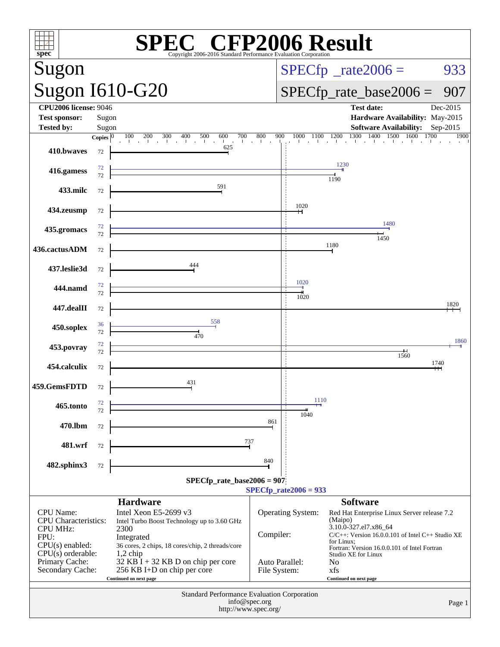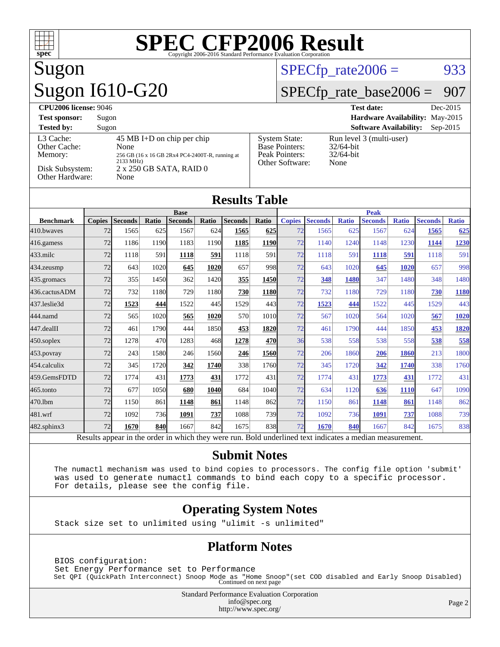

# Sugon Sugon I610-G20

### $SPECTp_rate2006 = 933$

### [SPECfp\\_rate\\_base2006 =](http://www.spec.org/auto/cpu2006/Docs/result-fields.html#SPECfpratebase2006) 907

| <b>CPU2006 license: 9046</b>                                               |                                                                                                                                       |                                                                                    | <b>Test date:</b><br>Dec-2015                                    |
|----------------------------------------------------------------------------|---------------------------------------------------------------------------------------------------------------------------------------|------------------------------------------------------------------------------------|------------------------------------------------------------------|
| <b>Test sponsor:</b>                                                       | Sugon                                                                                                                                 |                                                                                    | Hardware Availability: May-2015                                  |
| <b>Tested by:</b>                                                          | Sugon                                                                                                                                 |                                                                                    | <b>Software Availability:</b><br>$Sep-2015$                      |
| L3 Cache:<br>Other Cache:<br>Memory:<br>Disk Subsystem:<br>Other Hardware: | 45 MB I+D on chip per chip<br>None<br>256 GB (16 x 16 GB 2Rx4 PC4-2400T-R, running at<br>2133 MHz)<br>2 x 250 GB SATA, RAID 0<br>None | <b>System State:</b><br><b>Base Pointers:</b><br>Peak Pointers:<br>Other Software: | Run level 3 (multi-user)<br>$32/64$ -bit<br>$32/64$ -bit<br>None |

#### **[Results Table](http://www.spec.org/auto/cpu2006/Docs/result-fields.html#ResultsTable) [Benchmark](http://www.spec.org/auto/cpu2006/Docs/result-fields.html#Benchmark) [Copies](http://www.spec.org/auto/cpu2006/Docs/result-fields.html#Copies) [Seconds](http://www.spec.org/auto/cpu2006/Docs/result-fields.html#Seconds) [Ratio](http://www.spec.org/auto/cpu2006/Docs/result-fields.html#Ratio) [Seconds](http://www.spec.org/auto/cpu2006/Docs/result-fields.html#Seconds) [Ratio](http://www.spec.org/auto/cpu2006/Docs/result-fields.html#Ratio) [Seconds](http://www.spec.org/auto/cpu2006/Docs/result-fields.html#Seconds) [Ratio](http://www.spec.org/auto/cpu2006/Docs/result-fields.html#Ratio) Base [Copies](http://www.spec.org/auto/cpu2006/Docs/result-fields.html#Copies) [Seconds](http://www.spec.org/auto/cpu2006/Docs/result-fields.html#Seconds) [Ratio](http://www.spec.org/auto/cpu2006/Docs/result-fields.html#Ratio) [Seconds](http://www.spec.org/auto/cpu2006/Docs/result-fields.html#Seconds) [Ratio](http://www.spec.org/auto/cpu2006/Docs/result-fields.html#Ratio) [Seconds](http://www.spec.org/auto/cpu2006/Docs/result-fields.html#Seconds) [Ratio](http://www.spec.org/auto/cpu2006/Docs/result-fields.html#Ratio) Peak** [410.bwaves](http://www.spec.org/auto/cpu2006/Docs/410.bwaves.html) 72 1565 625 1567 624 **[1565](http://www.spec.org/auto/cpu2006/Docs/result-fields.html#Median) [625](http://www.spec.org/auto/cpu2006/Docs/result-fields.html#Median)** 72 1565 625 1567 624 **[1565](http://www.spec.org/auto/cpu2006/Docs/result-fields.html#Median) [625](http://www.spec.org/auto/cpu2006/Docs/result-fields.html#Median)** [416.gamess](http://www.spec.org/auto/cpu2006/Docs/416.gamess.html) 72 1186 1190 1183 1190 **[1185](http://www.spec.org/auto/cpu2006/Docs/result-fields.html#Median) [1190](http://www.spec.org/auto/cpu2006/Docs/result-fields.html#Median)** 72 1140 1240 1148 1230 **[1144](http://www.spec.org/auto/cpu2006/Docs/result-fields.html#Median) [1230](http://www.spec.org/auto/cpu2006/Docs/result-fields.html#Median)** [433.milc](http://www.spec.org/auto/cpu2006/Docs/433.milc.html) 72 1118 591 **[1118](http://www.spec.org/auto/cpu2006/Docs/result-fields.html#Median) [591](http://www.spec.org/auto/cpu2006/Docs/result-fields.html#Median)** 1118 591 72 1118 591 **[1118](http://www.spec.org/auto/cpu2006/Docs/result-fields.html#Median) [591](http://www.spec.org/auto/cpu2006/Docs/result-fields.html#Median)** 1118 591 [434.zeusmp](http://www.spec.org/auto/cpu2006/Docs/434.zeusmp.html) 72 643 1020 **[645](http://www.spec.org/auto/cpu2006/Docs/result-fields.html#Median) [1020](http://www.spec.org/auto/cpu2006/Docs/result-fields.html#Median)** 657 998 72 643 1020 **[645](http://www.spec.org/auto/cpu2006/Docs/result-fields.html#Median) [1020](http://www.spec.org/auto/cpu2006/Docs/result-fields.html#Median)** 657 998 [435.gromacs](http://www.spec.org/auto/cpu2006/Docs/435.gromacs.html) 72 355 1450 362 1420 **[355](http://www.spec.org/auto/cpu2006/Docs/result-fields.html#Median) [1450](http://www.spec.org/auto/cpu2006/Docs/result-fields.html#Median)** 72 **[348](http://www.spec.org/auto/cpu2006/Docs/result-fields.html#Median) [1480](http://www.spec.org/auto/cpu2006/Docs/result-fields.html#Median)** 347 1480 348 1480 [436.cactusADM](http://www.spec.org/auto/cpu2006/Docs/436.cactusADM.html) 72 732 1180 729 1180 **[730](http://www.spec.org/auto/cpu2006/Docs/result-fields.html#Median) [1180](http://www.spec.org/auto/cpu2006/Docs/result-fields.html#Median)** 72 732 1180 729 1180 **[730](http://www.spec.org/auto/cpu2006/Docs/result-fields.html#Median) [1180](http://www.spec.org/auto/cpu2006/Docs/result-fields.html#Median)** [437.leslie3d](http://www.spec.org/auto/cpu2006/Docs/437.leslie3d.html) 72 **[1523](http://www.spec.org/auto/cpu2006/Docs/result-fields.html#Median) [444](http://www.spec.org/auto/cpu2006/Docs/result-fields.html#Median)** 1522 445 1529 443 72 **[1523](http://www.spec.org/auto/cpu2006/Docs/result-fields.html#Median) [444](http://www.spec.org/auto/cpu2006/Docs/result-fields.html#Median)** 1522 445 1529 443 [444.namd](http://www.spec.org/auto/cpu2006/Docs/444.namd.html) 72 565 1020 **[565](http://www.spec.org/auto/cpu2006/Docs/result-fields.html#Median) [1020](http://www.spec.org/auto/cpu2006/Docs/result-fields.html#Median)** 570 1010 72 567 1020 564 1020 **[567](http://www.spec.org/auto/cpu2006/Docs/result-fields.html#Median) [1020](http://www.spec.org/auto/cpu2006/Docs/result-fields.html#Median)** [447.dealII](http://www.spec.org/auto/cpu2006/Docs/447.dealII.html) 72 461 1790 444 1850 **[453](http://www.spec.org/auto/cpu2006/Docs/result-fields.html#Median) [1820](http://www.spec.org/auto/cpu2006/Docs/result-fields.html#Median)** 72 461 1790 444 1850 **[453](http://www.spec.org/auto/cpu2006/Docs/result-fields.html#Median) [1820](http://www.spec.org/auto/cpu2006/Docs/result-fields.html#Median)** [450.soplex](http://www.spec.org/auto/cpu2006/Docs/450.soplex.html) 72 1278 470 1283 468 **[1278](http://www.spec.org/auto/cpu2006/Docs/result-fields.html#Median) [470](http://www.spec.org/auto/cpu2006/Docs/result-fields.html#Median)** 36 538 558 538 558 **[538](http://www.spec.org/auto/cpu2006/Docs/result-fields.html#Median) [558](http://www.spec.org/auto/cpu2006/Docs/result-fields.html#Median)** [453.povray](http://www.spec.org/auto/cpu2006/Docs/453.povray.html) 72 243 1580 246 1560 **[246](http://www.spec.org/auto/cpu2006/Docs/result-fields.html#Median) [1560](http://www.spec.org/auto/cpu2006/Docs/result-fields.html#Median)** 72 206 1860 **[206](http://www.spec.org/auto/cpu2006/Docs/result-fields.html#Median) [1860](http://www.spec.org/auto/cpu2006/Docs/result-fields.html#Median)** 213 1800 [454.calculix](http://www.spec.org/auto/cpu2006/Docs/454.calculix.html) 72 345 1720 **[342](http://www.spec.org/auto/cpu2006/Docs/result-fields.html#Median) [1740](http://www.spec.org/auto/cpu2006/Docs/result-fields.html#Median)** 338 1760 72 345 1720 **[342](http://www.spec.org/auto/cpu2006/Docs/result-fields.html#Median) [1740](http://www.spec.org/auto/cpu2006/Docs/result-fields.html#Median)** 338 1760 [459.GemsFDTD](http://www.spec.org/auto/cpu2006/Docs/459.GemsFDTD.html) 72 1774 431 **[1773](http://www.spec.org/auto/cpu2006/Docs/result-fields.html#Median) [431](http://www.spec.org/auto/cpu2006/Docs/result-fields.html#Median)** 1772 431 72 1774 431 **[1773](http://www.spec.org/auto/cpu2006/Docs/result-fields.html#Median) [431](http://www.spec.org/auto/cpu2006/Docs/result-fields.html#Median)** 1772 431 [465.tonto](http://www.spec.org/auto/cpu2006/Docs/465.tonto.html) 72 677 1050 **[680](http://www.spec.org/auto/cpu2006/Docs/result-fields.html#Median) [1040](http://www.spec.org/auto/cpu2006/Docs/result-fields.html#Median)** 684 1040 72 634 1120 **[636](http://www.spec.org/auto/cpu2006/Docs/result-fields.html#Median) [1110](http://www.spec.org/auto/cpu2006/Docs/result-fields.html#Median)** 647 1090 [470.lbm](http://www.spec.org/auto/cpu2006/Docs/470.lbm.html) 72 1150 861 **[1148](http://www.spec.org/auto/cpu2006/Docs/result-fields.html#Median) [861](http://www.spec.org/auto/cpu2006/Docs/result-fields.html#Median)** 1148 862 72 1150 861 **[1148](http://www.spec.org/auto/cpu2006/Docs/result-fields.html#Median) [861](http://www.spec.org/auto/cpu2006/Docs/result-fields.html#Median)** 1148 862 [481.wrf](http://www.spec.org/auto/cpu2006/Docs/481.wrf.html) 72 1092 736 **[1091](http://www.spec.org/auto/cpu2006/Docs/result-fields.html#Median) [737](http://www.spec.org/auto/cpu2006/Docs/result-fields.html#Median)** 1088 739 72 1092 736 **[1091](http://www.spec.org/auto/cpu2006/Docs/result-fields.html#Median) [737](http://www.spec.org/auto/cpu2006/Docs/result-fields.html#Median)** 1088 739 [482.sphinx3](http://www.spec.org/auto/cpu2006/Docs/482.sphinx3.html) 72 **[1670](http://www.spec.org/auto/cpu2006/Docs/result-fields.html#Median) [840](http://www.spec.org/auto/cpu2006/Docs/result-fields.html#Median)** 1667 842 1675 838 72 **[1670](http://www.spec.org/auto/cpu2006/Docs/result-fields.html#Median) [840](http://www.spec.org/auto/cpu2006/Docs/result-fields.html#Median)** 1667 842 1675 838

Results appear in the [order in which they were run.](http://www.spec.org/auto/cpu2006/Docs/result-fields.html#RunOrder) Bold underlined text [indicates a median measurement.](http://www.spec.org/auto/cpu2006/Docs/result-fields.html#Median)

#### **[Submit Notes](http://www.spec.org/auto/cpu2006/Docs/result-fields.html#SubmitNotes)**

 The numactl mechanism was used to bind copies to processors. The config file option 'submit' was used to generate numactl commands to bind each copy to a specific processor. For details, please see the config file.

### **[Operating System Notes](http://www.spec.org/auto/cpu2006/Docs/result-fields.html#OperatingSystemNotes)**

Stack size set to unlimited using "ulimit -s unlimited"

### **[Platform Notes](http://www.spec.org/auto/cpu2006/Docs/result-fields.html#PlatformNotes)**

 BIOS configuration: Set Energy Performance set to Performance Set QPI (QuickPath Interconnect) Snoop Mode as "Home Snoop"(set COD disabled and Early Snoop Disabled) Continued on next page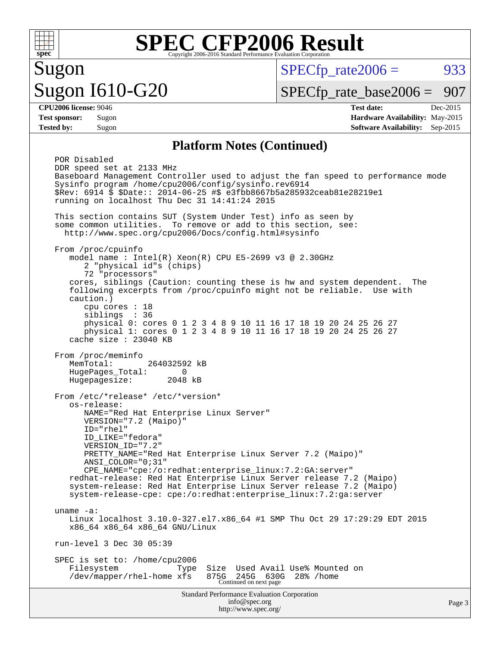

# Sugon Sugon I610-G20

 $SPECTp\_rate2006 = 933$ 

[SPECfp\\_rate\\_base2006 =](http://www.spec.org/auto/cpu2006/Docs/result-fields.html#SPECfpratebase2006) 907

**[CPU2006 license:](http://www.spec.org/auto/cpu2006/Docs/result-fields.html#CPU2006license)** 9046 **[Test date:](http://www.spec.org/auto/cpu2006/Docs/result-fields.html#Testdate)** Dec-2015 **[Test sponsor:](http://www.spec.org/auto/cpu2006/Docs/result-fields.html#Testsponsor)** Sugon **[Hardware Availability:](http://www.spec.org/auto/cpu2006/Docs/result-fields.html#HardwareAvailability)** May-2015 **[Tested by:](http://www.spec.org/auto/cpu2006/Docs/result-fields.html#Testedby)** Sugon **[Software Availability:](http://www.spec.org/auto/cpu2006/Docs/result-fields.html#SoftwareAvailability)** Sep-2015

#### **[Platform Notes \(Continued\)](http://www.spec.org/auto/cpu2006/Docs/result-fields.html#PlatformNotes)**

Standard Performance Evaluation Corporation [info@spec.org](mailto:info@spec.org) <http://www.spec.org/> POR Disabled DDR speed set at 2133 MHz Baseboard Management Controller used to adjust the fan speed to performance mode Sysinfo program /home/cpu2006/config/sysinfo.rev6914 \$Rev: 6914 \$ \$Date:: 2014-06-25 #\$ e3fbb8667b5a285932ceab81e28219e1 running on localhost Thu Dec 31 14:41:24 2015 This section contains SUT (System Under Test) info as seen by some common utilities. To remove or add to this section, see: <http://www.spec.org/cpu2006/Docs/config.html#sysinfo> From /proc/cpuinfo model name : Intel $(R)$  Xeon $(R)$  CPU E5-2699 v3 @ 2.30GHz 2 "physical id"s (chips) 72 "processors" cores, siblings (Caution: counting these is hw and system dependent. The following excerpts from /proc/cpuinfo might not be reliable. Use with caution.) cpu cores : 18 siblings : 36 physical 0: cores 0 1 2 3 4 8 9 10 11 16 17 18 19 20 24 25 26 27 physical 1: cores 0 1 2 3 4 8 9 10 11 16 17 18 19 20 24 25 26 27 cache size : 23040 KB From /proc/meminfo<br>MemTotal: 264032592 kB HugePages\_Total: 0<br>Hugepagesize: 2048 kB Hugepagesize: From /etc/\*release\* /etc/\*version\* os-release: NAME="Red Hat Enterprise Linux Server" VERSION="7.2 (Maipo)" ID="rhel" ID\_LIKE="fedora" VERSION\_ID="7.2" PRETTY\_NAME="Red Hat Enterprise Linux Server 7.2 (Maipo)" ANSI\_COLOR="0;31" CPE\_NAME="cpe:/o:redhat:enterprise\_linux:7.2:GA:server" redhat-release: Red Hat Enterprise Linux Server release 7.2 (Maipo) system-release: Red Hat Enterprise Linux Server release 7.2 (Maipo) system-release-cpe: cpe:/o:redhat:enterprise\_linux:7.2:ga:server uname -a: Linux localhost 3.10.0-327.el7.x86\_64 #1 SMP Thu Oct 29 17:29:29 EDT 2015 x86\_64 x86\_64 x86\_64 GNU/Linux run-level 3 Dec 30 05:39 SPEC is set to: /home/cpu2006 Filesystem Type Size Used Avail Use% Mounted on /dev/mapper/rhel-home xfs 875G 245G 630G 28% /home Continued on next page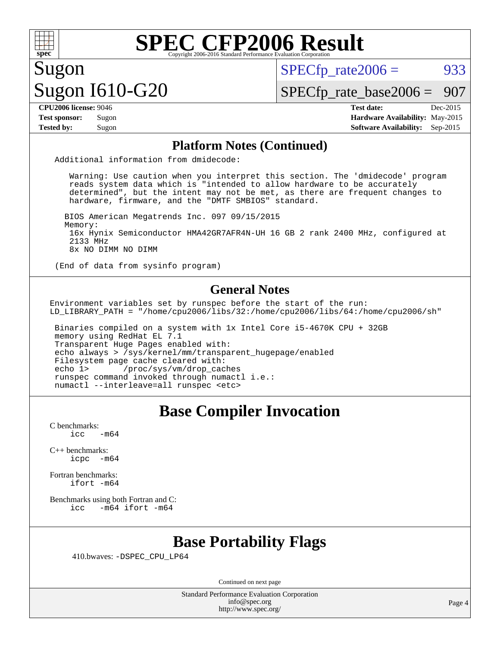

 $SPECTp\_rate2006 = 933$ 

# Sugon Sugon I610-G20

[SPECfp\\_rate\\_base2006 =](http://www.spec.org/auto/cpu2006/Docs/result-fields.html#SPECfpratebase2006) 907

**[CPU2006 license:](http://www.spec.org/auto/cpu2006/Docs/result-fields.html#CPU2006license)** 9046 **[Test date:](http://www.spec.org/auto/cpu2006/Docs/result-fields.html#Testdate)** Dec-2015 **[Test sponsor:](http://www.spec.org/auto/cpu2006/Docs/result-fields.html#Testsponsor)** Sugon **[Hardware Availability:](http://www.spec.org/auto/cpu2006/Docs/result-fields.html#HardwareAvailability)** May-2015 **[Tested by:](http://www.spec.org/auto/cpu2006/Docs/result-fields.html#Testedby)** Sugon **[Software Availability:](http://www.spec.org/auto/cpu2006/Docs/result-fields.html#SoftwareAvailability)** Sep-2015

#### **[Platform Notes \(Continued\)](http://www.spec.org/auto/cpu2006/Docs/result-fields.html#PlatformNotes)**

Additional information from dmidecode:

 Warning: Use caution when you interpret this section. The 'dmidecode' program reads system data which is "intended to allow hardware to be accurately determined", but the intent may not be met, as there are frequent changes to hardware, firmware, and the "DMTF SMBIOS" standard.

 BIOS American Megatrends Inc. 097 09/15/2015 Memory: 16x Hynix Semiconductor HMA42GR7AFR4N-UH 16 GB 2 rank 2400 MHz, configured at 2133 MHz 8x NO DIMM NO DIMM

(End of data from sysinfo program)

#### **[General Notes](http://www.spec.org/auto/cpu2006/Docs/result-fields.html#GeneralNotes)**

Environment variables set by runspec before the start of the run: LD\_LIBRARY\_PATH = "/home/cpu2006/libs/32:/home/cpu2006/libs/64:/home/cpu2006/sh"

 Binaries compiled on a system with 1x Intel Core i5-4670K CPU + 32GB memory using RedHat EL 7.1 Transparent Huge Pages enabled with: echo always > /sys/kernel/mm/transparent\_hugepage/enabled Filesystem page cache cleared with:<br>echo 1> /proc/sys/vm/drop cac /proc/sys/vm/drop\_caches runspec command invoked through numactl i.e.: numactl --interleave=all runspec <etc>

# **[Base Compiler Invocation](http://www.spec.org/auto/cpu2006/Docs/result-fields.html#BaseCompilerInvocation)**

[C benchmarks](http://www.spec.org/auto/cpu2006/Docs/result-fields.html#Cbenchmarks):  $icc$   $-m64$ 

[C++ benchmarks:](http://www.spec.org/auto/cpu2006/Docs/result-fields.html#CXXbenchmarks) [icpc -m64](http://www.spec.org/cpu2006/results/res2016q1/cpu2006-20160103-38542.flags.html#user_CXXbase_intel_icpc_64bit_bedb90c1146cab66620883ef4f41a67e)

[Fortran benchmarks](http://www.spec.org/auto/cpu2006/Docs/result-fields.html#Fortranbenchmarks): [ifort -m64](http://www.spec.org/cpu2006/results/res2016q1/cpu2006-20160103-38542.flags.html#user_FCbase_intel_ifort_64bit_ee9d0fb25645d0210d97eb0527dcc06e)

[Benchmarks using both Fortran and C](http://www.spec.org/auto/cpu2006/Docs/result-fields.html#BenchmarksusingbothFortranandC): [icc -m64](http://www.spec.org/cpu2006/results/res2016q1/cpu2006-20160103-38542.flags.html#user_CC_FCbase_intel_icc_64bit_0b7121f5ab7cfabee23d88897260401c) [ifort -m64](http://www.spec.org/cpu2006/results/res2016q1/cpu2006-20160103-38542.flags.html#user_CC_FCbase_intel_ifort_64bit_ee9d0fb25645d0210d97eb0527dcc06e)

### **[Base Portability Flags](http://www.spec.org/auto/cpu2006/Docs/result-fields.html#BasePortabilityFlags)**

410.bwaves: [-DSPEC\\_CPU\\_LP64](http://www.spec.org/cpu2006/results/res2016q1/cpu2006-20160103-38542.flags.html#suite_basePORTABILITY410_bwaves_DSPEC_CPU_LP64)

Continued on next page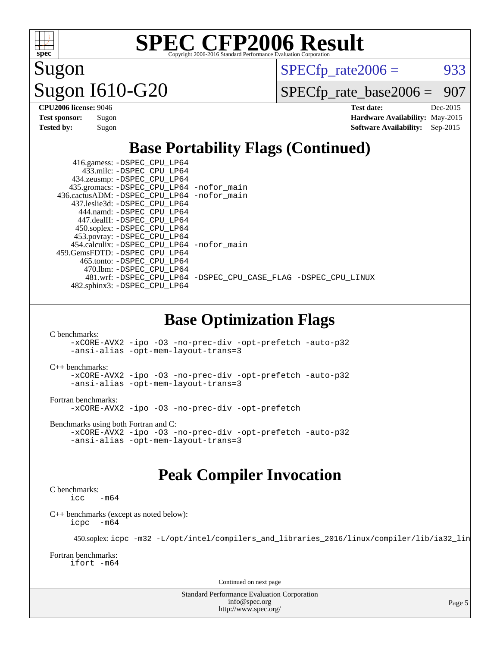

Sugon Sugon I610-G20  $SPECTp\_rate2006 = 933$ 

[SPECfp\\_rate\\_base2006 =](http://www.spec.org/auto/cpu2006/Docs/result-fields.html#SPECfpratebase2006) 907

| <b>CPU2006 license: 9046</b> |          |  |  |
|------------------------------|----------|--|--|
| <b>Test sponsor:</b>         | Sugon    |  |  |
| Tested hv•                   | $S11$ on |  |  |

**[CPU2006 license:](http://www.spec.org/auto/cpu2006/Docs/result-fields.html#CPU2006license)** 9046 **[Test date:](http://www.spec.org/auto/cpu2006/Docs/result-fields.html#Testdate)** Dec-2015 **[Hardware Availability:](http://www.spec.org/auto/cpu2006/Docs/result-fields.html#HardwareAvailability)** May-2015 **[Tested by:](http://www.spec.org/auto/cpu2006/Docs/result-fields.html#Testedby)** Sugon **[Software Availability:](http://www.spec.org/auto/cpu2006/Docs/result-fields.html#SoftwareAvailability)** Sep-2015

## **[Base Portability Flags \(Continued\)](http://www.spec.org/auto/cpu2006/Docs/result-fields.html#BasePortabilityFlags)**

| 416.gamess: -DSPEC_CPU_LP64                |                                                                |
|--------------------------------------------|----------------------------------------------------------------|
| 433.milc: -DSPEC CPU LP64                  |                                                                |
| 434.zeusmp: -DSPEC_CPU_LP64                |                                                                |
| 435.gromacs: -DSPEC_CPU_LP64 -nofor_main   |                                                                |
| 436.cactusADM: -DSPEC CPU LP64 -nofor main |                                                                |
| 437.leslie3d: -DSPEC CPU LP64              |                                                                |
| 444.namd: - DSPEC_CPU_LP64                 |                                                                |
| 447.dealII: -DSPEC_CPU LP64                |                                                                |
| 450.soplex: -DSPEC_CPU_LP64                |                                                                |
| 453.povray: -DSPEC_CPU_LP64                |                                                                |
| 454.calculix: -DSPEC CPU LP64 -nofor main  |                                                                |
| 459.GemsFDTD: -DSPEC CPU LP64              |                                                                |
| 465.tonto: - DSPEC CPU LP64                |                                                                |
| 470.1bm: - DSPEC CPU LP64                  |                                                                |
|                                            | 481.wrf: -DSPEC_CPU_LP64 -DSPEC_CPU_CASE_FLAG -DSPEC_CPU_LINUX |
| 482.sphinx3: -DSPEC CPU LP64               |                                                                |

### **[Base Optimization Flags](http://www.spec.org/auto/cpu2006/Docs/result-fields.html#BaseOptimizationFlags)**

[C benchmarks](http://www.spec.org/auto/cpu2006/Docs/result-fields.html#Cbenchmarks):

[-xCORE-AVX2](http://www.spec.org/cpu2006/results/res2016q1/cpu2006-20160103-38542.flags.html#user_CCbase_f-xAVX2_5f5fc0cbe2c9f62c816d3e45806c70d7) [-ipo](http://www.spec.org/cpu2006/results/res2016q1/cpu2006-20160103-38542.flags.html#user_CCbase_f-ipo) [-O3](http://www.spec.org/cpu2006/results/res2016q1/cpu2006-20160103-38542.flags.html#user_CCbase_f-O3) [-no-prec-div](http://www.spec.org/cpu2006/results/res2016q1/cpu2006-20160103-38542.flags.html#user_CCbase_f-no-prec-div) [-opt-prefetch](http://www.spec.org/cpu2006/results/res2016q1/cpu2006-20160103-38542.flags.html#user_CCbase_f-opt-prefetch) [-auto-p32](http://www.spec.org/cpu2006/results/res2016q1/cpu2006-20160103-38542.flags.html#user_CCbase_f-auto-p32) [-ansi-alias](http://www.spec.org/cpu2006/results/res2016q1/cpu2006-20160103-38542.flags.html#user_CCbase_f-ansi-alias) [-opt-mem-layout-trans=3](http://www.spec.org/cpu2006/results/res2016q1/cpu2006-20160103-38542.flags.html#user_CCbase_f-opt-mem-layout-trans_a7b82ad4bd7abf52556d4961a2ae94d5)

[C++ benchmarks:](http://www.spec.org/auto/cpu2006/Docs/result-fields.html#CXXbenchmarks)

#### [-xCORE-AVX2](http://www.spec.org/cpu2006/results/res2016q1/cpu2006-20160103-38542.flags.html#user_CXXbase_f-xAVX2_5f5fc0cbe2c9f62c816d3e45806c70d7) [-ipo](http://www.spec.org/cpu2006/results/res2016q1/cpu2006-20160103-38542.flags.html#user_CXXbase_f-ipo) [-O3](http://www.spec.org/cpu2006/results/res2016q1/cpu2006-20160103-38542.flags.html#user_CXXbase_f-O3) [-no-prec-div](http://www.spec.org/cpu2006/results/res2016q1/cpu2006-20160103-38542.flags.html#user_CXXbase_f-no-prec-div) [-opt-prefetch](http://www.spec.org/cpu2006/results/res2016q1/cpu2006-20160103-38542.flags.html#user_CXXbase_f-opt-prefetch) [-auto-p32](http://www.spec.org/cpu2006/results/res2016q1/cpu2006-20160103-38542.flags.html#user_CXXbase_f-auto-p32) [-ansi-alias](http://www.spec.org/cpu2006/results/res2016q1/cpu2006-20160103-38542.flags.html#user_CXXbase_f-ansi-alias) [-opt-mem-layout-trans=3](http://www.spec.org/cpu2006/results/res2016q1/cpu2006-20160103-38542.flags.html#user_CXXbase_f-opt-mem-layout-trans_a7b82ad4bd7abf52556d4961a2ae94d5)

[Fortran benchmarks](http://www.spec.org/auto/cpu2006/Docs/result-fields.html#Fortranbenchmarks):

[-xCORE-AVX2](http://www.spec.org/cpu2006/results/res2016q1/cpu2006-20160103-38542.flags.html#user_FCbase_f-xAVX2_5f5fc0cbe2c9f62c816d3e45806c70d7) [-ipo](http://www.spec.org/cpu2006/results/res2016q1/cpu2006-20160103-38542.flags.html#user_FCbase_f-ipo) [-O3](http://www.spec.org/cpu2006/results/res2016q1/cpu2006-20160103-38542.flags.html#user_FCbase_f-O3) [-no-prec-div](http://www.spec.org/cpu2006/results/res2016q1/cpu2006-20160103-38542.flags.html#user_FCbase_f-no-prec-div) [-opt-prefetch](http://www.spec.org/cpu2006/results/res2016q1/cpu2006-20160103-38542.flags.html#user_FCbase_f-opt-prefetch)

[Benchmarks using both Fortran and C](http://www.spec.org/auto/cpu2006/Docs/result-fields.html#BenchmarksusingbothFortranandC):

```
-xCORE-AVX2 -ipo -O3 -no-prec-div -opt-prefetch -auto-p32
-ansi-alias -opt-mem-layout-trans=3
```
### **[Peak Compiler Invocation](http://www.spec.org/auto/cpu2006/Docs/result-fields.html#PeakCompilerInvocation)**

[C benchmarks](http://www.spec.org/auto/cpu2006/Docs/result-fields.html#Cbenchmarks):  $\text{icc}$   $-\text{m64}$ 

[C++ benchmarks \(except as noted below\):](http://www.spec.org/auto/cpu2006/Docs/result-fields.html#CXXbenchmarksexceptasnotedbelow) [icpc -m64](http://www.spec.org/cpu2006/results/res2016q1/cpu2006-20160103-38542.flags.html#user_CXXpeak_intel_icpc_64bit_bedb90c1146cab66620883ef4f41a67e)

450.soplex: [icpc -m32 -L/opt/intel/compilers\\_and\\_libraries\\_2016/linux/compiler/lib/ia32\\_lin](http://www.spec.org/cpu2006/results/res2016q1/cpu2006-20160103-38542.flags.html#user_peakCXXLD450_soplex_intel_icpc_b4f50a394bdb4597aa5879c16bc3f5c5)

[Fortran benchmarks](http://www.spec.org/auto/cpu2006/Docs/result-fields.html#Fortranbenchmarks): [ifort -m64](http://www.spec.org/cpu2006/results/res2016q1/cpu2006-20160103-38542.flags.html#user_FCpeak_intel_ifort_64bit_ee9d0fb25645d0210d97eb0527dcc06e)

Continued on next page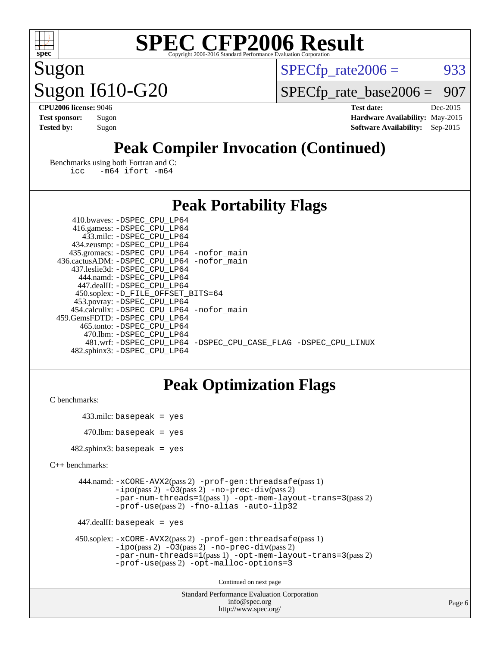

Sugon Sugon I610-G20  $SPECTp\_rate2006 = 933$ 

[SPECfp\\_rate\\_base2006 =](http://www.spec.org/auto/cpu2006/Docs/result-fields.html#SPECfpratebase2006) 907

**[CPU2006 license:](http://www.spec.org/auto/cpu2006/Docs/result-fields.html#CPU2006license)** 9046 **[Test date:](http://www.spec.org/auto/cpu2006/Docs/result-fields.html#Testdate)** Dec-2015 **[Test sponsor:](http://www.spec.org/auto/cpu2006/Docs/result-fields.html#Testsponsor)** Sugon **[Hardware Availability:](http://www.spec.org/auto/cpu2006/Docs/result-fields.html#HardwareAvailability)** May-2015 **[Tested by:](http://www.spec.org/auto/cpu2006/Docs/result-fields.html#Testedby)** Sugon **[Software Availability:](http://www.spec.org/auto/cpu2006/Docs/result-fields.html#SoftwareAvailability)** Sep-2015

# **[Peak Compiler Invocation \(Continued\)](http://www.spec.org/auto/cpu2006/Docs/result-fields.html#PeakCompilerInvocation)**

[Benchmarks using both Fortran and C](http://www.spec.org/auto/cpu2006/Docs/result-fields.html#BenchmarksusingbothFortranandC): [icc -m64](http://www.spec.org/cpu2006/results/res2016q1/cpu2006-20160103-38542.flags.html#user_CC_FCpeak_intel_icc_64bit_0b7121f5ab7cfabee23d88897260401c) [ifort -m64](http://www.spec.org/cpu2006/results/res2016q1/cpu2006-20160103-38542.flags.html#user_CC_FCpeak_intel_ifort_64bit_ee9d0fb25645d0210d97eb0527dcc06e)

## **[Peak Portability Flags](http://www.spec.org/auto/cpu2006/Docs/result-fields.html#PeakPortabilityFlags)**

| 410.bwaves: -DSPEC CPU LP64                  |                                                                |
|----------------------------------------------|----------------------------------------------------------------|
| 416.gamess: -DSPEC_CPU_LP64                  |                                                                |
| 433.milc: -DSPEC CPU LP64                    |                                                                |
| 434.zeusmp: -DSPEC_CPU_LP64                  |                                                                |
| 435.gromacs: -DSPEC_CPU_LP64 -nofor_main     |                                                                |
| 436.cactusADM: - DSPEC CPU LP64 - nofor main |                                                                |
| 437.leslie3d: -DSPEC CPU LP64                |                                                                |
| 444.namd: -DSPEC CPU LP64                    |                                                                |
| 447.dealII: -DSPEC CPU LP64                  |                                                                |
| 450.soplex: -D_FILE_OFFSET_BITS=64           |                                                                |
| 453.povray: -DSPEC_CPU_LP64                  |                                                                |
| 454.calculix: - DSPEC CPU LP64 - nofor main  |                                                                |
| 459.GemsFDTD: -DSPEC CPU LP64                |                                                                |
| 465.tonto: - DSPEC CPU LP64                  |                                                                |
| 470.1bm: - DSPEC CPU LP64                    |                                                                |
|                                              | 481.wrf: -DSPEC CPU LP64 -DSPEC CPU CASE FLAG -DSPEC CPU LINUX |
| 482.sphinx3: -DSPEC CPU LP64                 |                                                                |

# **[Peak Optimization Flags](http://www.spec.org/auto/cpu2006/Docs/result-fields.html#PeakOptimizationFlags)**

[C benchmarks](http://www.spec.org/auto/cpu2006/Docs/result-fields.html#Cbenchmarks):

 433.milc: basepeak = yes  $470$ .lbm: basepeak = yes

482.sphinx3: basepeak = yes

```
C++ benchmarks:
```

```
 444.namd: -xCORE-AVX2(pass 2) -prof-gen:threadsafe(pass 1)
         -i\text{po}(pass 2) -\overline{O}3(pass 2)-no-prec-div(pass 2)
         -par-num-threads=1(pass 1) -opt-mem-layout-trans=3(pass 2)
         -prof-use(pass 2) -fno-alias -auto-ilp32
```
447.dealII: basepeak = yes

```
 450.soplex: -xCORE-AVX2(pass 2) -prof-gen:threadsafe(pass 1)
         -ipo(pass 2) -O3(pass 2) -no-prec-div(pass 2)
         -par-num-threads=1(pass 1) -opt-mem-layout-trans=3(pass 2)
         -prof-use(pass 2) -opt-malloc-options=3
```
Continued on next page

```
Standard Performance Evaluation Corporation
              info@spec.org
           http://www.spec.org/
```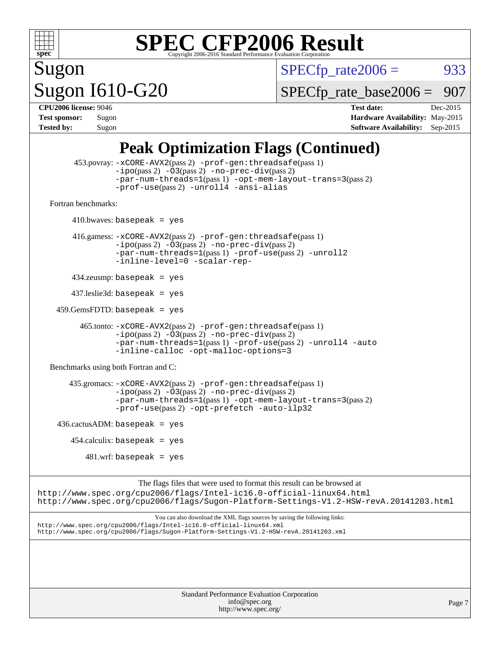

 $SPECTp\_rate2006 = 933$ 

# Sugon Sugon I610-G20

[SPECfp\\_rate\\_base2006 =](http://www.spec.org/auto/cpu2006/Docs/result-fields.html#SPECfpratebase2006) 907

| <b>CPU2006 license: 9046</b> |       |  |  |
|------------------------------|-------|--|--|
| <b>Test sponsor:</b>         | Sugon |  |  |
| <b>Tested by:</b>            | Sugon |  |  |

**[CPU2006 license:](http://www.spec.org/auto/cpu2006/Docs/result-fields.html#CPU2006license)** 9046 **[Test date:](http://www.spec.org/auto/cpu2006/Docs/result-fields.html#Testdate)** Dec-2015 **[Hardware Availability:](http://www.spec.org/auto/cpu2006/Docs/result-fields.html#HardwareAvailability)** May-2015 **[Software Availability:](http://www.spec.org/auto/cpu2006/Docs/result-fields.html#SoftwareAvailability)** Sep-2015

# **[Peak Optimization Flags \(Continued\)](http://www.spec.org/auto/cpu2006/Docs/result-fields.html#PeakOptimizationFlags)**

```
 453.povray: -xCORE-AVX2(pass 2) -prof-gen:threadsafe(pass 1)
                  -i\text{po}(pass 2) -\overset{\sim}{O}3(pass 2)-no-prec-div(pass 2)
                  -par-num-threads=1(pass 1) -opt-mem-layout-trans=3(pass 2)
                  -prof-use(pass 2) -unroll4 -ansi-alias
   Fortran benchmarks: 
         410.bwaves: basepeak = yes
         416.gamess: -xCORE-AVX2(pass 2) -prof-gen:threadsafe(pass 1)
                  -ipo(pass 2) -O3(pass 2) -no-prec-div(pass 2)
                  -par-num-threads=1(pass 1) -prof-use(pass 2) -unroll2
                  -inline-level=0 -scalar-rep-
         434.zeusmp: basepeak = yes
         437.leslie3d: basepeak = yes
     459.GemsFDTD: basepeak = yes
           465.tonto: -xCORE-AVX2(pass 2) -prof-gen:threadsafe(pass 1)
                  -no-prec-div(pass 2)-par-num-threads=1(pass 1) -prof-use(pass 2) -unroll4 -auto
                  -inline-calloc -opt-malloc-options=3
   Benchmarks using both Fortran and C: 
        435.gromacs: -xCORE-AVX2(pass 2) -prof-gen:threadsafe(pass 1)
                  -ipo(pass 2) -O3(pass 2) -no-prec-div(pass 2)
                  -par-num-threads=1(pass 1) -opt-mem-layout-trans=3(pass 2)
                  -prof-use(pass 2) -opt-prefetch -auto-ilp32
    436.cactusADM: basepeak = yes454.calculix: basepeak = yes
           481.wrf: basepeak = yes
                        The flags files that were used to format this result can be browsed at
http://www.spec.org/cpu2006/flags/Intel-ic16.0-official-linux64.html
http://www.spec.org/cpu2006/flags/Sugon-Platform-Settings-V1.2-HSW-revA.20141203.html
```
You can also download the XML flags sources by saving the following links: <http://www.spec.org/cpu2006/flags/Intel-ic16.0-official-linux64.xml> <http://www.spec.org/cpu2006/flags/Sugon-Platform-Settings-V1.2-HSW-revA.20141203.xml>